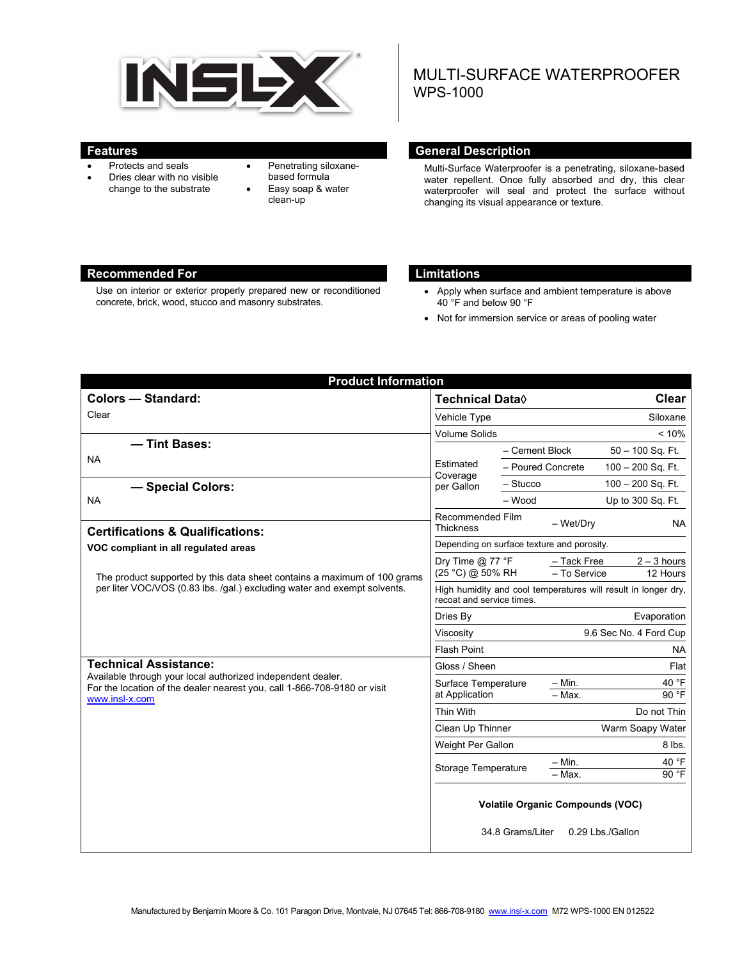

- Protects and seals
- Dries clear with no visible change to the substrate
- Penetrating siloxanebased formula Easy soap & water
- clean-up

# MULTI-SURFACE WATERPROOFER WPS-1000

#### **Features General Description Ceneral Description**

Multi-Surface Waterproofer is a penetrating, siloxane-based water repellent. Once fully absorbed and dry, this clear waterproofer will seal and protect the surface without changing its visual appearance or texture.

# **Recommended For Limitations**

Use on interior or exterior properly prepared new or reconditioned concrete, brick, wood, stucco and masonry substrates.

- Apply when surface and ambient temperature is above 40 °F and below 90 °F
- Not for immersion service or areas of pooling water

| <b>Product Information</b>                                                                                                                                                                |                                                                                             |                   |                    |                           |  |
|-------------------------------------------------------------------------------------------------------------------------------------------------------------------------------------------|---------------------------------------------------------------------------------------------|-------------------|--------------------|---------------------------|--|
| <b>Colors - Standard:</b>                                                                                                                                                                 | <b>Technical Data</b> ♦                                                                     |                   |                    | <b>Clear</b>              |  |
| Clear                                                                                                                                                                                     | Vehicle Type                                                                                |                   |                    | Siloxane                  |  |
|                                                                                                                                                                                           | <b>Volume Solids</b>                                                                        |                   |                    | < 10%                     |  |
| - Tint Bases:                                                                                                                                                                             |                                                                                             | - Cement Block    |                    | $50 - 100$ Sq. Ft.        |  |
| <b>NA</b>                                                                                                                                                                                 | Estimated<br>Coverage<br>per Gallon                                                         | - Poured Concrete |                    | $100 - 200$ Sq. Ft.       |  |
| - Special Colors:                                                                                                                                                                         |                                                                                             | $-$ Stucco        |                    | $100 - 200$ Sq. Ft.       |  |
| <b>NA</b>                                                                                                                                                                                 |                                                                                             | $-$ Wood          |                    | Up to 300 Sq. Ft.         |  |
| <b>Certifications &amp; Qualifications:</b>                                                                                                                                               | Recommended Film<br><b>Thickness</b>                                                        |                   | - Wet/Dry          | NA.                       |  |
| VOC compliant in all regulated areas                                                                                                                                                      | Depending on surface texture and porosity.                                                  |                   |                    |                           |  |
| The product supported by this data sheet contains a maximum of 100 grams<br>per liter VOC/VOS (0.83 lbs. /gal.) excluding water and exempt solvents.                                      | Dry Time $@$ 77 °F<br>- Tack Free<br>(25 °C) @ 50% RH<br>- To Service                       |                   |                    | $2 - 3$ hours<br>12 Hours |  |
|                                                                                                                                                                                           | High humidity and cool temperatures will result in longer dry,<br>recoat and service times. |                   |                    |                           |  |
|                                                                                                                                                                                           | Dries By                                                                                    |                   |                    | Evaporation               |  |
|                                                                                                                                                                                           | 9.6 Sec No. 4 Ford Cup<br>Viscosity                                                         |                   |                    |                           |  |
|                                                                                                                                                                                           | <b>Flash Point</b>                                                                          |                   |                    | <b>NA</b>                 |  |
| <b>Technical Assistance:</b><br>Available through your local authorized independent dealer.<br>For the location of the dealer nearest you, call 1-866-708-9180 or visit<br>www.insl-x.com | Gloss / Sheen                                                                               |                   |                    | Flat                      |  |
|                                                                                                                                                                                           | Surface Temperature<br>at Application                                                       |                   | $-$ Min.           | 40 °F                     |  |
|                                                                                                                                                                                           |                                                                                             |                   | $-$ Max.           | 90 °F                     |  |
|                                                                                                                                                                                           | Thin With                                                                                   |                   | Do not Thin        |                           |  |
|                                                                                                                                                                                           | Clean Up Thinner                                                                            |                   | Warm Soapy Water   |                           |  |
|                                                                                                                                                                                           | Weight Per Gallon<br>Storage Temperature                                                    |                   |                    | 8 lbs.                    |  |
|                                                                                                                                                                                           |                                                                                             |                   | $- Min.$<br>- Max. | 40 °F<br>90 °F            |  |
|                                                                                                                                                                                           | <b>Volatile Organic Compounds (VOC)</b><br>34.8 Grams/Liter<br>0.29 Lbs./Gallon             |                   |                    |                           |  |